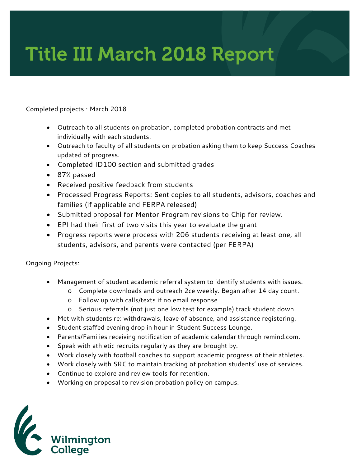## Title III March 2018 Report

## Completed projects • March 2018

- Outreach to all students on probation, completed probation contracts and met individually with each students.
- Outreach to faculty of all students on probation asking them to keep Success Coaches updated of progress.
- Completed ID100 section and submitted grades
- 87% passed
- Received positive feedback from students
- Processed Progress Reports: Sent copies to all students, advisors, coaches and families (if applicable and FERPA released)
- Submitted proposal for Mentor Program revisions to Chip for review.
- EPI had their first of two visits this year to evaluate the grant
- Progress reports were process with 206 students receiving at least one, all students, advisors, and parents were contacted (per FERPA)

Ongoing Projects:

- Management of student academic referral system to identify students with issues.
	- o Complete downloads and outreach 2ce weekly. Began after 14 day count.
	- o Follow up with calls/texts if no email response
	- o Serious referrals (not just one low test for example) track student down
- Met with students re: withdrawals, leave of absence, and assistance registering.
- Student staffed evening drop in hour in Student Success Lounge.
- Parents/Families receiving notification of academic calendar through remind.com.
- Speak with athletic recruits regularly as they are brought by.
- Work closely with football coaches to support academic progress of their athletes.
- Work closely with SRC to maintain tracking of probation students' use of services.
- Continue to explore and review tools for retention.
- Working on proposal to revision probation policy on campus.

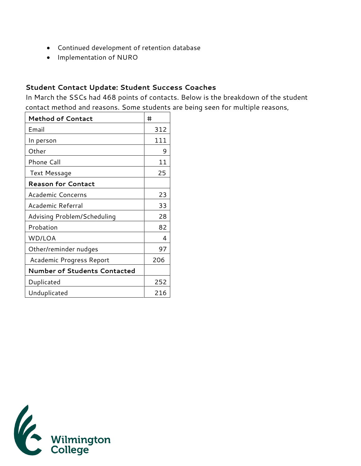- Continued development of retention database
- Implementation of NURO

## **Student Contact Update: Student Success Coaches**

In March the SSCs had 468 points of contacts. Below is the breakdown of the student contact method and reasons. Some students are being seen for multiple reasons,

| <b>Method of Contact</b>            | #   |
|-------------------------------------|-----|
| Email                               | 312 |
| In person                           | 111 |
| Other                               | 9   |
| Phone Call                          | 11  |
| <b>Text Message</b>                 | 25  |
| <b>Reason for Contact</b>           |     |
| Academic Concerns                   | 23  |
| Academic Referral                   | 33  |
| Advising Problem/Scheduling         | 28  |
| Probation                           | 82  |
| WD/LOA                              | 4   |
| Other/reminder nudges               | 97  |
| Academic Progress Report            | 206 |
| <b>Number of Students Contacted</b> |     |
| Duplicated                          | 252 |
| Unduplicated                        | 216 |